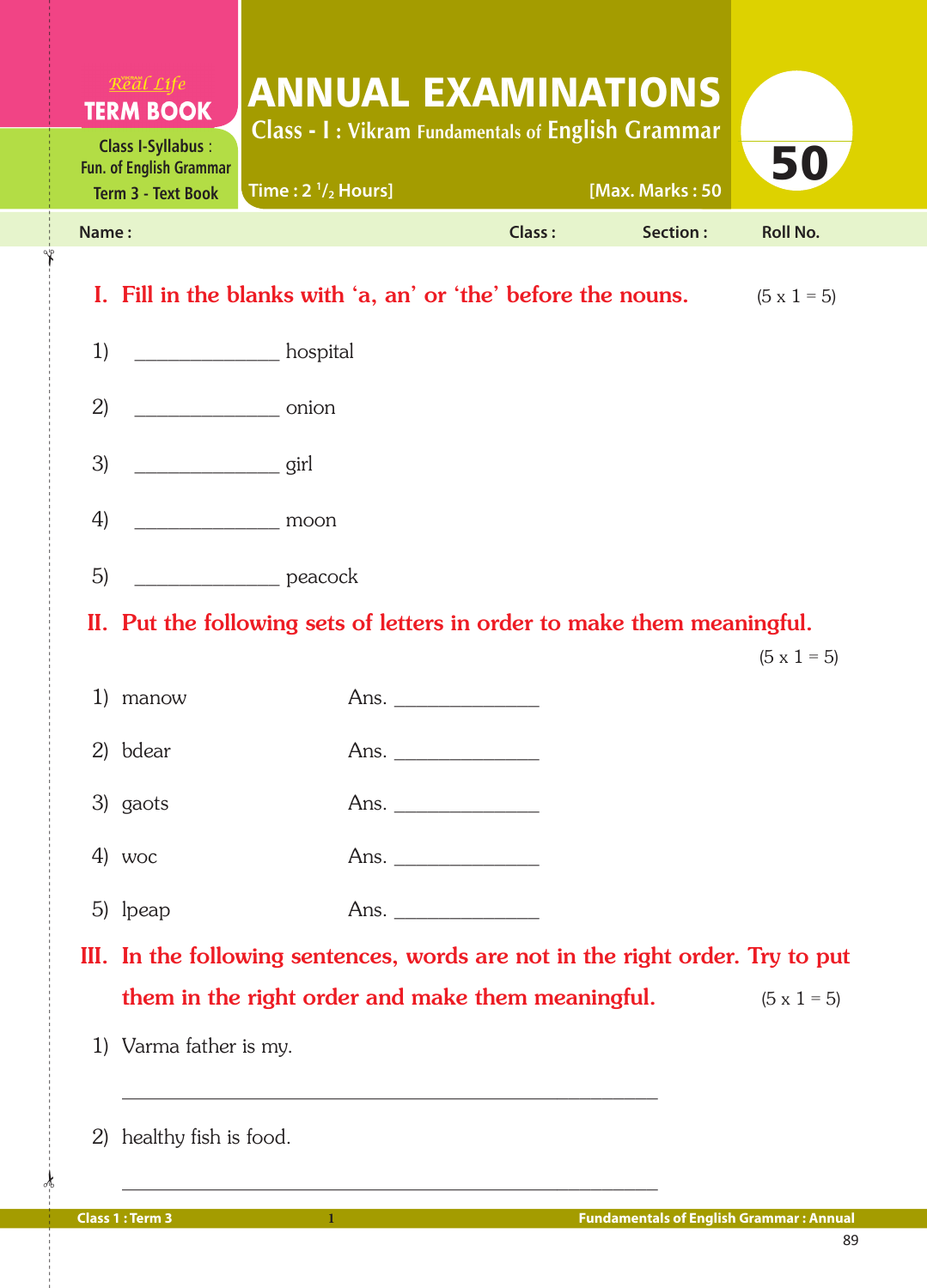| $R$ <i>eal</i> $Life$<br><b>TERM BOOK</b><br><b>Class I-Syllabus:</b><br><b>Fun. of English Grammar</b><br><b>Term 3 - Text Book</b>                                                                                                                                                                                                                                                                                       | <b>ANNUAL EXAMINATIONS</b><br><b>Class - I: Vikram Fundamentals of English Grammar</b><br>Time: $2 \frac{1}{2}$ Hours] |        | [Max. Marks: 50 | 50                 |
|----------------------------------------------------------------------------------------------------------------------------------------------------------------------------------------------------------------------------------------------------------------------------------------------------------------------------------------------------------------------------------------------------------------------------|------------------------------------------------------------------------------------------------------------------------|--------|-----------------|--------------------|
| Name:                                                                                                                                                                                                                                                                                                                                                                                                                      |                                                                                                                        | Class: | Section:        | <b>Roll No.</b>    |
|                                                                                                                                                                                                                                                                                                                                                                                                                            | I. Fill in the blanks with 'a, an' or 'the' before the nouns.                                                          |        |                 | $(5 \times 1 = 5)$ |
| 1)                                                                                                                                                                                                                                                                                                                                                                                                                         | hospital<br>hospital                                                                                                   |        |                 |                    |
| 2)<br>$\overline{\phantom{a}}$ onion                                                                                                                                                                                                                                                                                                                                                                                       |                                                                                                                        |        |                 |                    |
| 3)<br>$\frac{1}{\sqrt{1-\frac{1}{2}}\sqrt{1-\frac{1}{2}}\sqrt{1-\frac{1}{2}}\sqrt{1-\frac{1}{2}}\sqrt{1-\frac{1}{2}}\sqrt{1-\frac{1}{2}}\sqrt{1-\frac{1}{2}}\sqrt{1-\frac{1}{2}}\sqrt{1-\frac{1}{2}}\sqrt{1-\frac{1}{2}}\sqrt{1-\frac{1}{2}}\sqrt{1-\frac{1}{2}}\sqrt{1-\frac{1}{2}}\sqrt{1-\frac{1}{2}}\sqrt{1-\frac{1}{2}}\sqrt{1-\frac{1}{2}}\sqrt{1-\frac{1}{2}}\sqrt{1-\frac{1}{2}}\sqrt{1-\frac{1}{2}}\sqrt{1-\frac$ |                                                                                                                        |        |                 |                    |
| 4)<br><u>moon</u>                                                                                                                                                                                                                                                                                                                                                                                                          |                                                                                                                        |        |                 |                    |
| 5)                                                                                                                                                                                                                                                                                                                                                                                                                         | peacock                                                                                                                |        |                 |                    |
|                                                                                                                                                                                                                                                                                                                                                                                                                            | II. Put the following sets of letters in order to make them meaningful.                                                |        |                 |                    |
|                                                                                                                                                                                                                                                                                                                                                                                                                            |                                                                                                                        |        |                 | $(5 \times 1 = 5)$ |
| $\ket{1}$<br>manow                                                                                                                                                                                                                                                                                                                                                                                                         |                                                                                                                        |        |                 |                    |
| 2) bdear                                                                                                                                                                                                                                                                                                                                                                                                                   |                                                                                                                        |        |                 |                    |
| 3) gaots                                                                                                                                                                                                                                                                                                                                                                                                                   |                                                                                                                        |        |                 |                    |
| 4) woc                                                                                                                                                                                                                                                                                                                                                                                                                     |                                                                                                                        |        |                 |                    |
| 5) lpeap                                                                                                                                                                                                                                                                                                                                                                                                                   |                                                                                                                        |        |                 |                    |
|                                                                                                                                                                                                                                                                                                                                                                                                                            | III. In the following sentences, words are not in the right order. Try to put                                          |        |                 |                    |
|                                                                                                                                                                                                                                                                                                                                                                                                                            | them in the right order and make them meaningful.                                                                      |        |                 | $(5 \times 1 = 5)$ |
| 1) Varma father is my.                                                                                                                                                                                                                                                                                                                                                                                                     |                                                                                                                        |        |                 |                    |

Y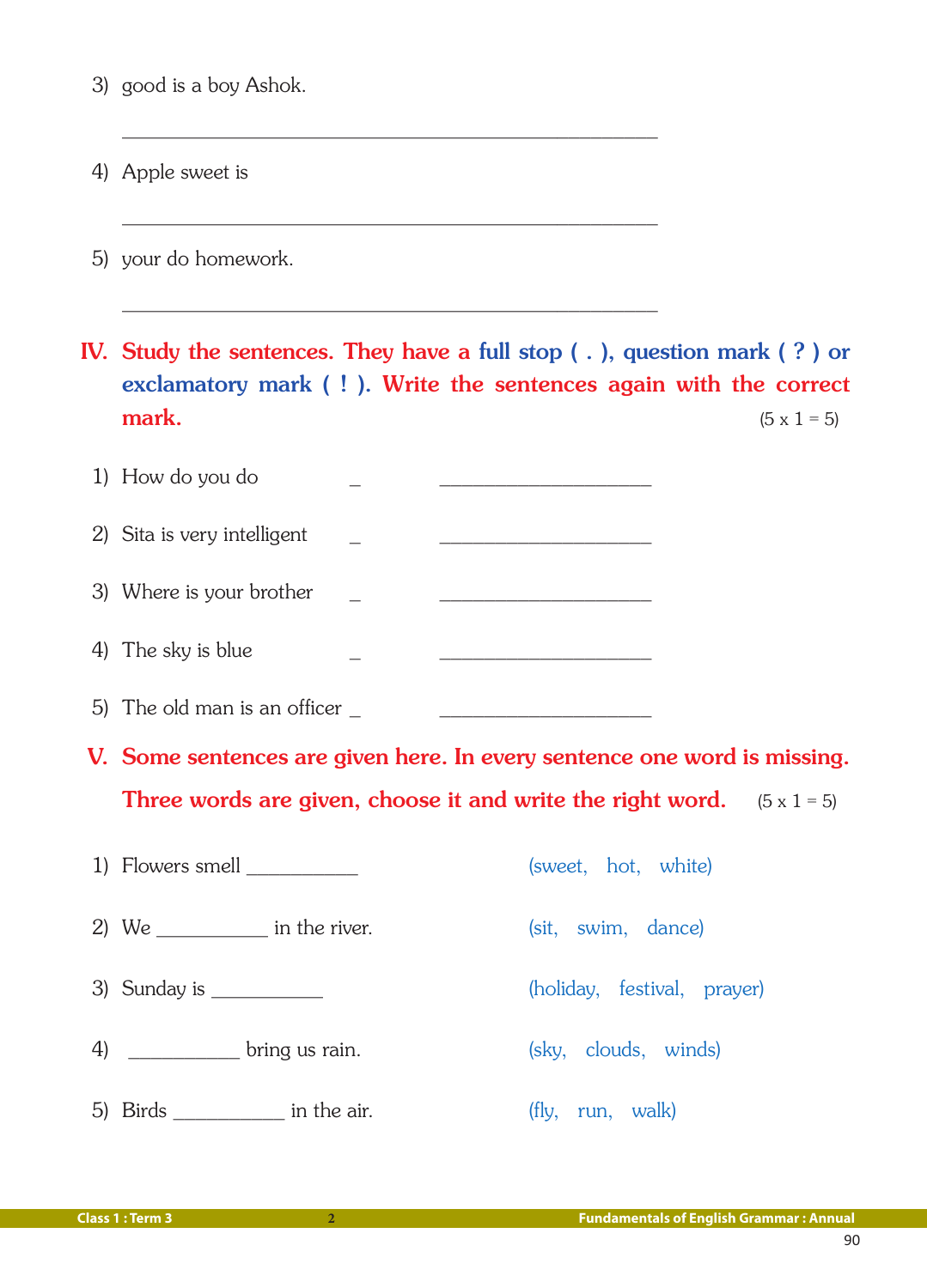3) good is a boy Ashok.

4) Apple sweet is

5) your do homework.

 IV. Study the sentences. They have a full stop ( . ), question mark ( ? ) or exclamatory mark ( ! ). Write the sentences again with the correct **mark.** (5 x 1 = 5)

| 1) How do you do            |  |
|-----------------------------|--|
| 2) Sita is very intelligent |  |
| 3) Where is your brother    |  |
| 4) The sky is blue          |  |

 $\mathcal{L} = \{ \mathcal{L} \mid \mathcal{L} \text{ and } \mathcal{L} \text{ and } \mathcal{L} \text{ and } \mathcal{L} \text{ and } \mathcal{L} \text{ and } \mathcal{L} \text{ and } \mathcal{L} \text{ and } \mathcal{L} \text{ and } \mathcal{L} \text{ and } \mathcal{L} \text{ and } \mathcal{L} \text{ and } \mathcal{L} \text{ and } \mathcal{L} \text{ and } \mathcal{L} \text{ and } \mathcal{L} \text{ and } \mathcal{L} \text{ and } \mathcal{L} \text{ and } \mathcal{L} \text{ and } \mathcal{L$ 

 $\overline{\phantom{a}}$  , and the contract of the contract of the contract of the contract of the contract of the contract of the contract of the contract of the contract of the contract of the contract of the contract of the contrac

 $\overline{\phantom{a}}$  , and the contract of the contract of the contract of the contract of the contract of the contract of the contract of the contract of the contract of the contract of the contract of the contract of the contrac

5) The old man is an officer

- V. Some sentences are given here. In every sentence one word is missing. Three words are given, choose it and write the right word.  $(5 \times 1 = 5)$
- 1) Flowers smell \_\_\_\_\_\_\_\_\_\_\_\_\_\_ (sweet, hot, white) 2) We \_\_\_\_\_\_\_\_\_\_\_ in the river. (sit, swim, dance) 3) Sunday is \_\_\_\_\_\_\_\_\_\_ (holiday, festival, prayer) 4) \_\_\_\_\_\_\_\_\_\_\_ bring us rain. (sky, clouds, winds) 5) Birds in the air. (fly, run, walk)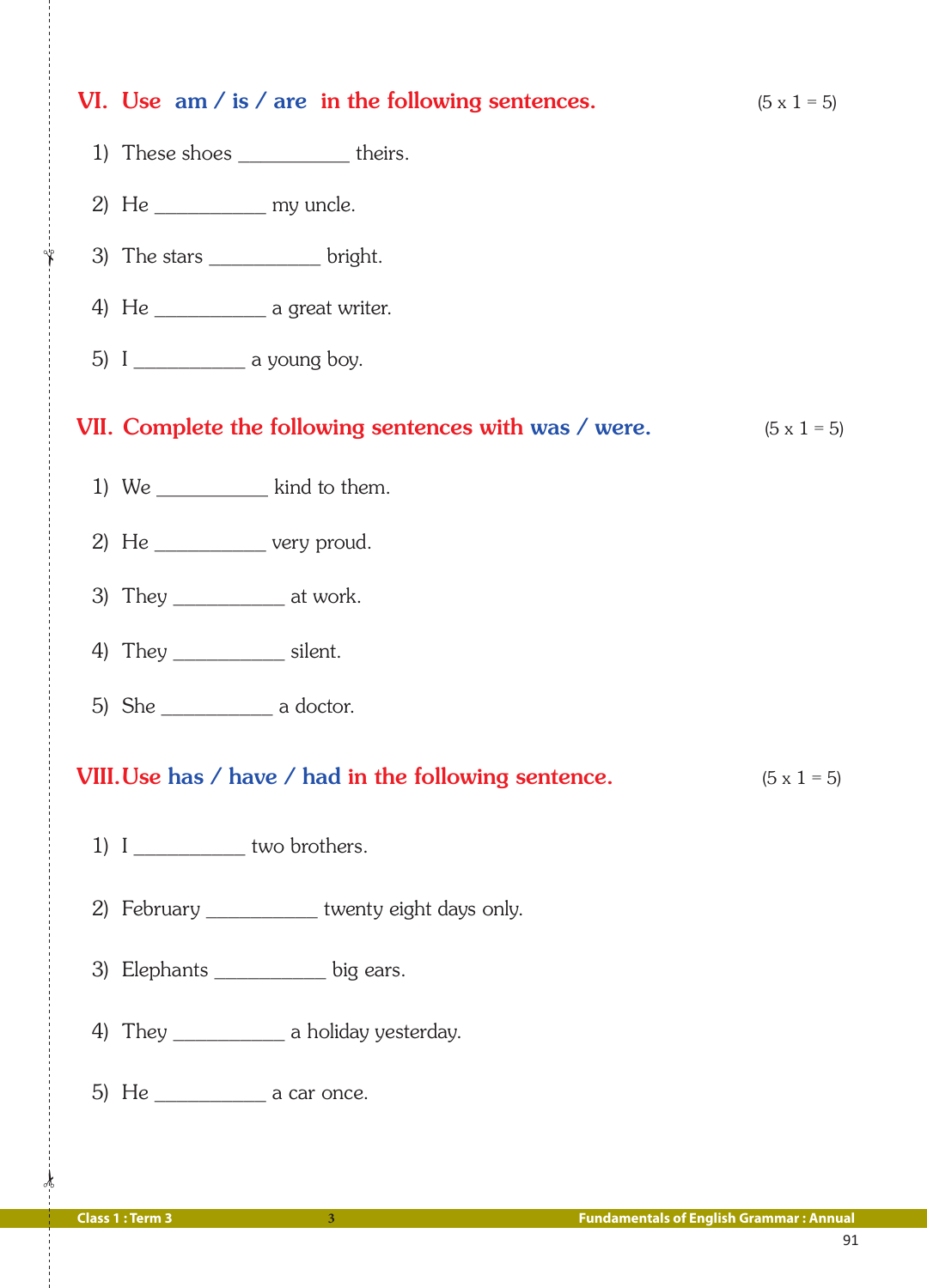| VI. Use $am / is / are$ in the following sentences.    | $(5 \times 1 = 5)$ |
|--------------------------------------------------------|--------------------|
| 1) These shoes _____________ theirs.                   |                    |
| 2) He $\_\_\_\_\_\_\_\_\$ my uncle.                    |                    |
| 3) The stars _____________ bright.                     |                    |
| 4) He $\frac{1}{\sqrt{2\pi}}$ a great writer.          |                    |
| 5) $I$ ________________ a young boy.                   |                    |
| VII. Complete the following sentences with was / were. | $(5 \times 1 = 5)$ |
| 1) We $\frac{1}{\sqrt{1-\frac{1}{2}}}\$ kind to them.  |                    |
| 2) He $\_\_\_\_\_\_\_\$ very proud.                    |                    |
| 3) They ________________ at work.                      |                    |
| 4) They ______________ silent.                         |                    |
| 5) She $\_\_\_\_\_\$ a doctor.                         |                    |
| VIII. Use has / have / had in the following sentence.  | $(5 \times 1 = 5)$ |
| 1) $I$ ______________ two brothers.                    |                    |
| 2) February _____________ twenty eight days only.      |                    |
| 3) Elephants ____________ big ears.                    |                    |
| 4) They _________________ a holiday yesterday.         |                    |
|                                                        |                    |
|                                                        |                    |

 $\frac{1}{2}$ 

✁